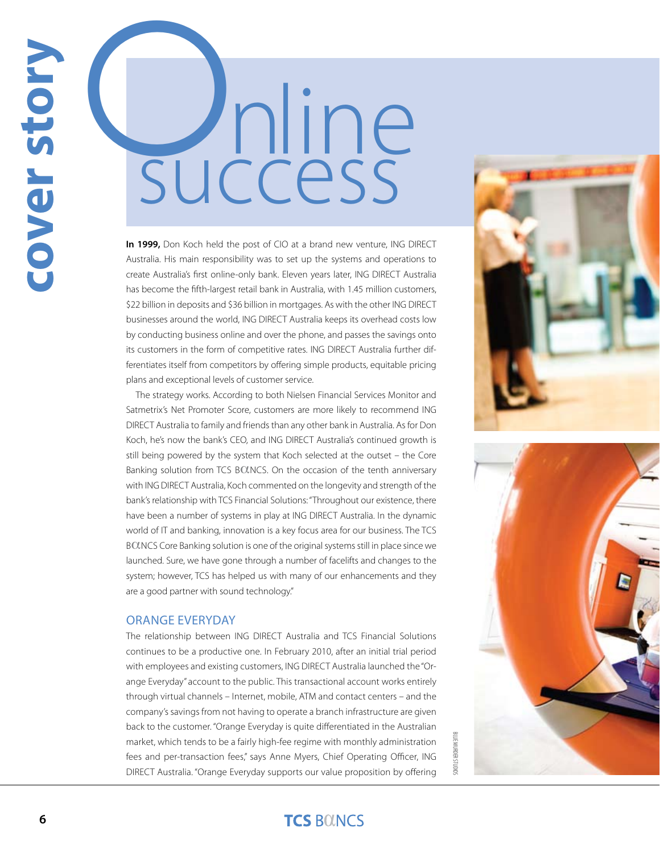**In 1999,** Don Koch held the post of CIO at a brand new venture, ING DIRECT Australia. His main responsibility was to set up the systems and operations to create Australia's first online-only bank. Eleven years later, ING DIRECT Australia has become the fifth-largest retail bank in Australia, with 1.45 million customers, \$22 billion in deposits and \$36 billion in mortgages. As with the other ING DIRECT businesses around the world, ING DIRECT Australia keeps its overhead costs low by conducting business online and over the phone, and passes the savings onto its customers in the form of competitive rates. ING DIRECT Australia further differentiates itself from competitors by offering simple products, equitable pricing plans and exceptional levels of customer service.

**6 cover such a cover such a cover such** a **cover such** a **cover such** a **cover such** a **cover such** a **cover such** a **cover such** a **cover such** a **cover such** a **cover such** a **cover such** a **cover such** a **cover s** The strategy works. According to both Nielsen Financial Services Monitor and Satmetrix's Net Promoter Score, customers are more likely to recommend ING DIRECT Australia to family and friends than any other bank in Australia. As for Don Koch, he's now the bank's CEO, and ING DIRECT Australia's continued growth is still being powered by the system that Koch selected at the outset – the Core Banking solution from TCS BOLNCS. On the occasion of the tenth anniversary with ING DIRECT Australia, Koch commented on the longevity and strength of the bank's relationship with TCS Financial Solutions: "Throughout our existence, there have been a number of systems in play at ING DIRECT Australia. In the dynamic world of IT and banking, innovation is a key focus area for our business. The TCS BOLNCS Core Banking solution is one of the original systems still in place since we launched. Sure, we have gone through a number of facelifts and changes to the system; however, TCS has helped us with many of our enhancements and they are a good partner with sound technology."

#### Orange Everyday

The relationship between ING DIRECT Australia and TCS Financial Solutions continues to be a productive one. In February 2010, after an initial trial period with employees and existing customers, ING DIRECT Australia launched the "Orange Everyday" account to the public. This transactional account works entirely through virtual channels – Internet, mobile, ATM and contact centers – and the company's savings from not having to operate a branch infrastructure are given back to the customer. "Orange Everyday is quite differentiated in the Australian market, which tends to be a fairly high-fee regime with monthly administration fees and per-transaction fees," says Anne Myers, Chief Operating Officer, ING DIRECT Australia. "Orange Everyday supports our value proposition by offering





BLUE MURDER STUDIOS**LUE MURDER STUDIOS**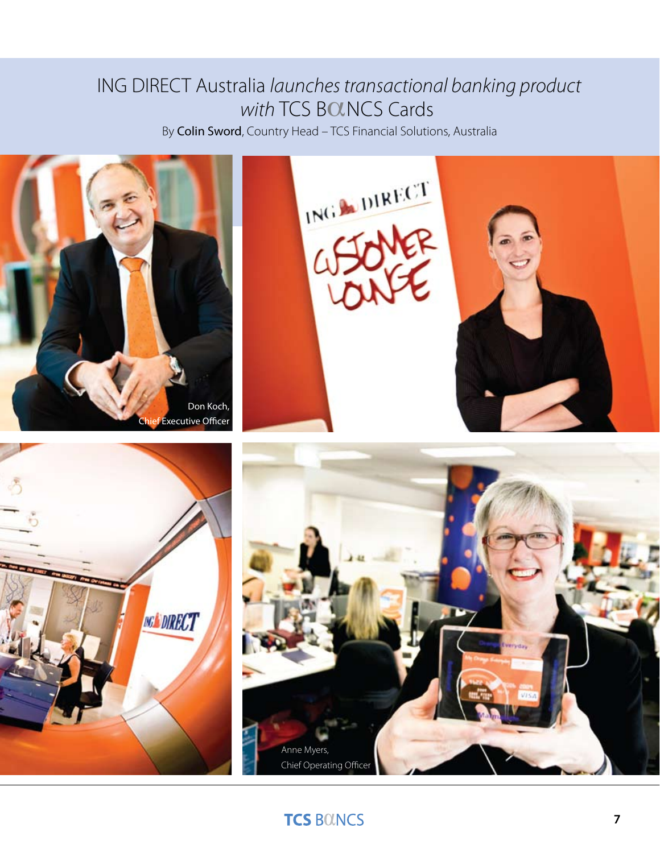# ING DIRECT Australia *launches transactional banking product with* TCS BOLNCS Cards

By Colin Sword, Country Head – TCS Financial Solutions, Australia









## **TCS BOINCS**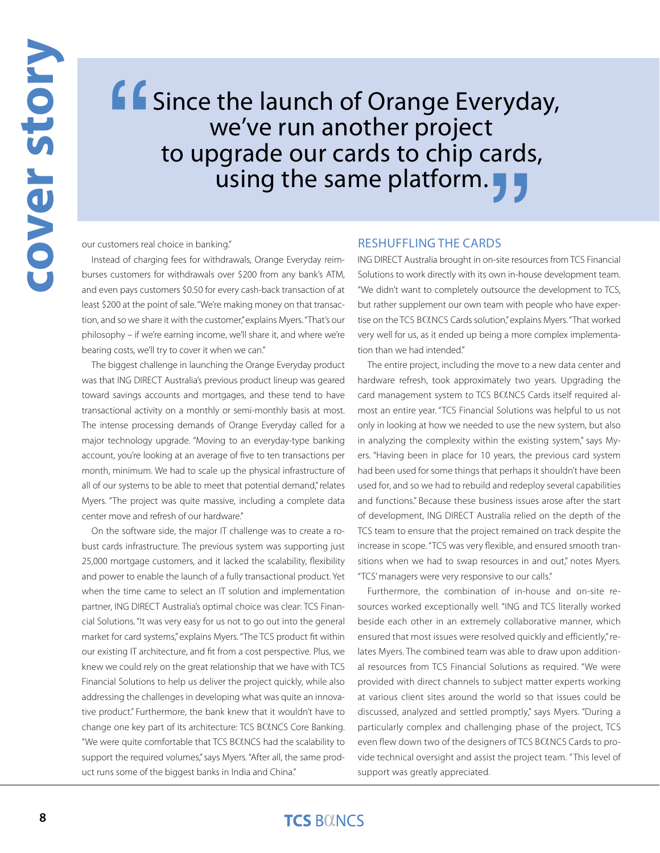# Since the launch of Orange Everyday, we've run another project to upgrade our cards to chip cards, Using the same platform.<br>
Ing." RESHUFFLING THE CARDS<br>
hdrawals, Orange Everyday reim- ING DIRECT Australia brought in on-site resour "

our customers real choice in banking."

Instead of charging fees for withdrawals, Orange Everyday reimburses customers for withdrawals over \$200 from any bank's ATM, and even pays customers \$0.50 for every cash-back transaction of at least \$200 at the point of sale. "We're making money on that transaction, and so we share it with the customer," explains Myers. "That's our philosophy – if we're earning income, we'll share it, and where we're bearing costs, we'll try to cover it when we can."

The biggest challenge in launching the Orange Everyday product was that ING DIRECT Australia's previous product lineup was geared toward savings accounts and mortgages, and these tend to have transactional activity on a monthly or semi-monthly basis at most. The intense processing demands of Orange Everyday called for a major technology upgrade. "Moving to an everyday-type banking account, you're looking at an average of five to ten transactions per month, minimum. We had to scale up the physical infrastructure of all of our systems to be able to meet that potential demand," relates Myers. "The project was quite massive, including a complete data center move and refresh of our hardware."

On the software side, the major IT challenge was to create a robust cards infrastructure. The previous system was supporting just 25,000 mortgage customers, and it lacked the scalability, flexibility and power to enable the launch of a fully transactional product. Yet when the time came to select an IT solution and implementation partner, ING DIRECT Australia's optimal choice was clear: TCS Financial Solutions. "It was very easy for us not to go out into the general market for card systems," explains Myers. "The TCS product fit within our existing IT architecture, and fit from a cost perspective. Plus, we knew we could rely on the great relationship that we have with TCS Financial Solutions to help us deliver the project quickly, while also addressing the challenges in developing what was quite an innovative product." Furthermore, the bank knew that it wouldn't have to change one key part of its architecture: TCS BOINCS Core Banking. "We were quite comfortable that TCS BOLNCS had the scalability to support the required volumes," says Myers. "After all, the same product runs some of the biggest banks in India and China."

#### Reshuffling the Cards

ING DIRECT Australia brought in on-site resources from TCS Financial Solutions to work directly with its own in-house development team. "We didn't want to completely outsource the development to TCS, but rather supplement our own team with people who have expertise on the TCS BOLNCS Cards solution," explains Myers. "That worked very well for us, as it ended up being a more complex implementation than we had intended."

The entire project, including the move to a new data center and hardware refresh, took approximately two years. Upgrading the card management system to TCS BOLNCS Cards itself required almost an entire year. "TCS Financial Solutions was helpful to us not only in looking at how we needed to use the new system, but also in analyzing the complexity within the existing system," says Myers. "Having been in place for 10 years, the previous card system had been used for some things that perhaps it shouldn't have been used for, and so we had to rebuild and redeploy several capabilities and functions." Because these business issues arose after the start of development, ING DIRECT Australia relied on the depth of the TCS team to ensure that the project remained on track despite the increase in scope. "TCS was very flexible, and ensured smooth transitions when we had to swap resources in and out," notes Myers. "TCS' managers were very responsive to our calls."

Furthermore, the combination of in-house and on-site resources worked exceptionally well. "ING and TCS literally worked beside each other in an extremely collaborative manner, which ensured that most issues were resolved quickly and efficiently," relates Myers. The combined team was able to draw upon additional resources from TCS Financial Solutions as required. "We were provided with direct channels to subject matter experts working at various client sites around the world so that issues could be discussed, analyzed and settled promptly," says Myers. "During a particularly complex and challenging phase of the project, TCS even flew down two of the designers of TCS BOLNCS Cards to provide technical oversight and assist the project team. " This level of support was greatly appreciated.